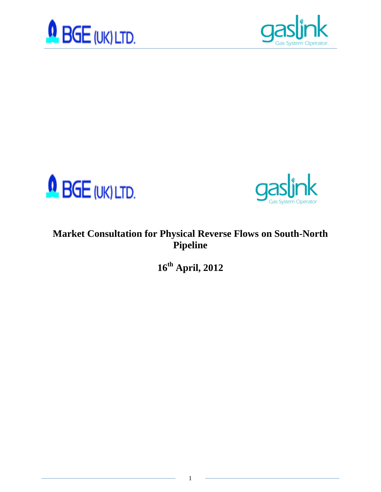







# **Market Consultation for Physical Reverse Flows on South-North Pipeline**

**16 th April, 2012**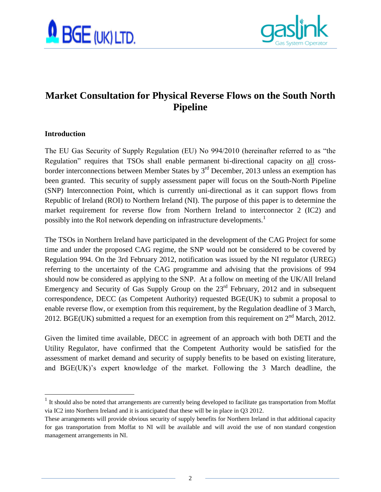



## **Market Consultation for Physical Reverse Flows on the South North Pipeline**

#### **Introduction**

l

The EU Gas Security of Supply Regulation (EU) No 994/2010 (hereinafter referred to as "the Regulation" requires that TSOs shall enable permanent bi-directional capacity on all crossborder interconnections between Member States by  $3<sup>rd</sup>$  December, 2013 unless an exemption has been granted. This security of supply assessment paper will focus on the South-North Pipeline (SNP) Interconnection Point, which is currently uni-directional as it can support flows from Republic of Ireland (ROI) to Northern Ireland (NI). The purpose of this paper is to determine the market requirement for reverse flow from Northern Ireland to interconnector 2 (IC2) and possibly into the RoI network depending on infrastructure developments.<sup>1</sup>

The TSOs in Northern Ireland have participated in the development of the CAG Project for some time and under the proposed CAG regime, the SNP would not be considered to be covered by Regulation 994. On the 3rd February 2012, notification was issued by the NI regulator (UREG) referring to the uncertainty of the CAG programme and advising that the provisions of 994 should now be considered as applying to the SNP. At a follow on meeting of the UK/All Ireland Emergency and Security of Gas Supply Group on the  $23<sup>rd</sup>$  February, 2012 and in subsequent correspondence, DECC (as Competent Authority) requested BGE(UK) to submit a proposal to enable reverse flow, or exemption from this requirement, by the Regulation deadline of 3 March, 2012. BGE(UK) submitted a request for an exemption from this requirement on  $2<sup>nd</sup>$  March, 2012.

Given the limited time available, DECC in agreement of an approach with both DETI and the Utility Regulator, have confirmed that the Competent Authority would be satisfied for the assessment of market demand and security of supply benefits to be based on existing literature, and BGE(UK)'s expert knowledge of the market. Following the 3 March deadline, the

 $<sup>1</sup>$  It should also be noted that arrangements are currently being developed to facilitate gas transportation from Moffat</sup> via IC2 into Northern Ireland and it is anticipated that these will be in place in Q3 2012.

These arrangements will provide obvious security of supply benefits for Northern Ireland in that additional capacity for gas transportation from Moffat to NI will be available and will avoid the use of non standard congestion management arrangements in NI.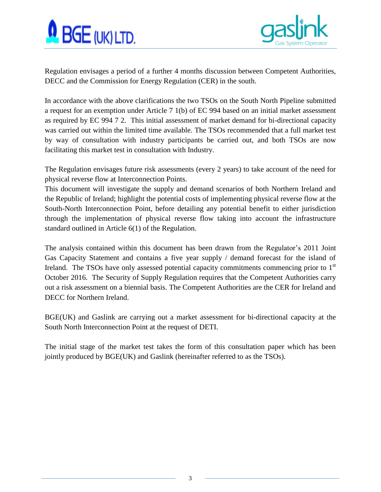



Regulation envisages a period of a further 4 months discussion between Competent Authorities, DECC and the Commission for Energy Regulation (CER) in the south.

In accordance with the above clarifications the two TSOs on the South North Pipeline submitted a request for an exemption under Article 7 1(b) of EC 994 based on an initial market assessment as required by EC 994 7 2. This initial assessment of market demand for bi-directional capacity was carried out within the limited time available. The TSOs recommended that a full market test by way of consultation with industry participants be carried out, and both TSOs are now facilitating this market test in consultation with Industry.

The Regulation envisages future risk assessments (every 2 years) to take account of the need for physical reverse flow at Interconnection Points.

This document will investigate the supply and demand scenarios of both Northern Ireland and the Republic of Ireland; highlight the potential costs of implementing physical reverse flow at the South-North Interconnection Point, before detailing any potential benefit to either jurisdiction through the implementation of physical reverse flow taking into account the infrastructure standard outlined in Article 6(1) of the Regulation.

The analysis contained within this document has been drawn from the Regulator's 2011 Joint Gas Capacity Statement and contains a five year supply / demand forecast for the island of Ireland. The TSOs have only assessed potential capacity commitments commencing prior to 1<sup>st</sup> October 2016. The Security of Supply Regulation requires that the Competent Authorities carry out a risk assessment on a biennial basis. The Competent Authorities are the CER for Ireland and DECC for Northern Ireland.

BGE(UK) and Gaslink are carrying out a market assessment for bi-directional capacity at the South North Interconnection Point at the request of DETI.

The initial stage of the market test takes the form of this consultation paper which has been jointly produced by BGE(UK) and Gaslink (hereinafter referred to as the TSOs).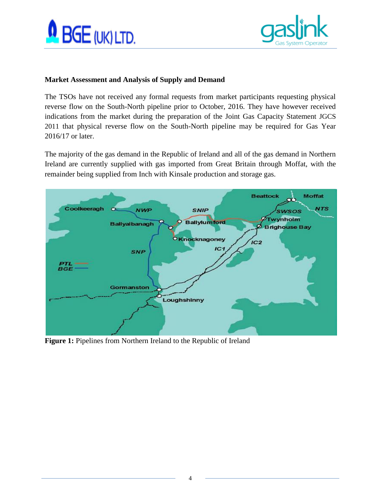



#### **Market Assessment and Analysis of Supply and Demand**

The TSOs have not received any formal requests from market participants requesting physical reverse flow on the South-North pipeline prior to October, 2016. They have however received indications from the market during the preparation of the Joint Gas Capacity Statement JGCS 2011 that physical reverse flow on the South-North pipeline may be required for Gas Year 2016/17 or later.

The majority of the gas demand in the Republic of Ireland and all of the gas demand in Northern Ireland are currently supplied with gas imported from Great Britain through Moffat, with the remainder being supplied from Inch with Kinsale production and storage gas.



**Figure 1:** Pipelines from Northern Ireland to the Republic of Ireland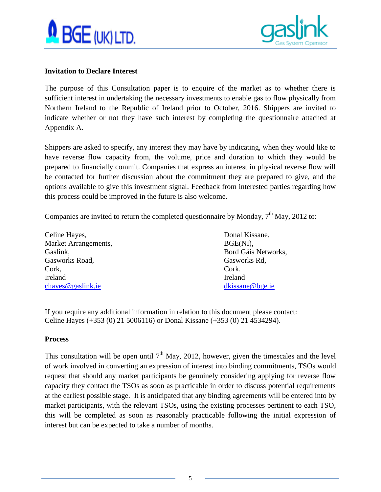



#### **Invitation to Declare Interest**

The purpose of this Consultation paper is to enquire of the market as to whether there is sufficient interest in undertaking the necessary investments to enable gas to flow physically from Northern Ireland to the Republic of Ireland prior to October, 2016. Shippers are invited to indicate whether or not they have such interest by completing the questionnaire attached at Appendix A.

Shippers are asked to specify, any interest they may have by indicating, when they would like to have reverse flow capacity from, the volume, price and duration to which they would be prepared to financially commit. Companies that express an interest in physical reverse flow will be contacted for further discussion about the commitment they are prepared to give, and the options available to give this investment signal. Feedback from interested parties regarding how this process could be improved in the future is also welcome.

Companies are invited to return the completed questionnaire by Monday,  $7<sup>th</sup>$  May, 2012 to:

Celine Hayes, Donal Kissane. Market Arrangements, BGE(NI), Gaslink, Gaslink, Gaslink, Gaslink, Gaslink, Gaslink, Gaslink, Gaslink, Gaslink, Gaslink, Gaslink, Gaslink, Gaslink, Gaslink, Gaslink, Gaslink, Gaslink, Gaslink, Gaslink, Gaslink, Gaslink, Gaslink, Gaslink, Gaslink, Gaslin Gasworks Road, Gasworks Rd, Cork, Cork. Ireland **Ireland** Ireland [chayes@gaslink.ie](mailto:chayes@gaslink.ie) [dkissane@bge.ie](mailto:dkissane@bge.ie)

If you require any additional information in relation to this document please contact: Celine Hayes (+353 (0) 21 5006116) or Donal Kissane (+353 (0) 21 4534294).

#### **Process**

This consultation will be open until  $7<sup>th</sup>$  May, 2012, however, given the timescales and the level of work involved in converting an expression of interest into binding commitments, TSOs would request that should any market participants be genuinely considering applying for reverse flow capacity they contact the TSOs as soon as practicable in order to discuss potential requirements at the earliest possible stage. It is anticipated that any binding agreements will be entered into by market participants, with the relevant TSOs, using the existing processes pertinent to each TSO, this will be completed as soon as reasonably practicable following the initial expression of interest but can be expected to take a number of months.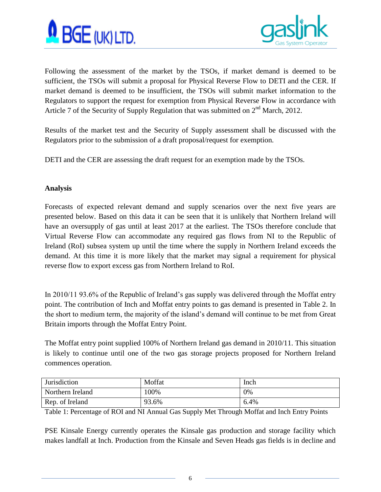



Following the assessment of the market by the TSOs, if market demand is deemed to be sufficient, the TSOs will submit a proposal for Physical Reverse Flow to DETI and the CER. If market demand is deemed to be insufficient, the TSOs will submit market information to the Regulators to support the request for exemption from Physical Reverse Flow in accordance with Article 7 of the Security of Supply Regulation that was submitted on  $2<sup>nd</sup>$  March, 2012.

Results of the market test and the Security of Supply assessment shall be discussed with the Regulators prior to the submission of a draft proposal/request for exemption.

DETI and the CER are assessing the draft request for an exemption made by the TSOs.

#### **Analysis**

Forecasts of expected relevant demand and supply scenarios over the next five years are presented below. Based on this data it can be seen that it is unlikely that Northern Ireland will have an oversupply of gas until at least 2017 at the earliest. The TSOs therefore conclude that Virtual Reverse Flow can accommodate any required gas flows from NI to the Republic of Ireland (RoI) subsea system up until the time where the supply in Northern Ireland exceeds the demand. At this time it is more likely that the market may signal a requirement for physical reverse flow to export excess gas from Northern Ireland to RoI.

In 2010/11 93.6% of the Republic of Ireland's gas supply was delivered through the Moffat entry point. The contribution of Inch and Moffat entry points to gas demand is presented in Table 2. In the short to medium term, the majority of the island's demand will continue to be met from Great Britain imports through the Moffat Entry Point.

The Moffat entry point supplied 100% of Northern Ireland gas demand in 2010/11. This situation is likely to continue until one of the two gas storage projects proposed for Northern Ireland commences operation.

| Jurisdiction     | Moffat | Inch |
|------------------|--------|------|
| Northern Ireland | 100%   | 0%   |
| Rep. of Ireland  | 93.6%  | 6.4% |

Table 1: Percentage of ROI and NI Annual Gas Supply Met Through Moffat and Inch Entry Points

PSE Kinsale Energy currently operates the Kinsale gas production and storage facility which makes landfall at Inch. Production from the Kinsale and Seven Heads gas fields is in decline and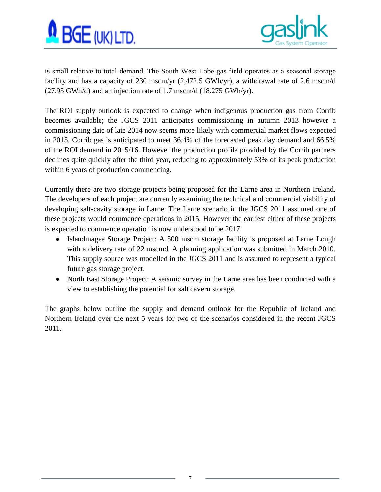



is small relative to total demand. The South West Lobe gas field operates as a seasonal storage facility and has a capacity of 230 mscm/yr (2,472.5 GWh/yr), a withdrawal rate of 2.6 mscm/d (27.95 GWh/d) and an injection rate of 1.7 mscm/d (18.275 GWh/yr).

The ROI supply outlook is expected to change when indigenous production gas from Corrib becomes available; the JGCS 2011 anticipates commissioning in autumn 2013 however a commissioning date of late 2014 now seems more likely with commercial market flows expected in 2015. Corrib gas is anticipated to meet 36.4% of the forecasted peak day demand and 66.5% of the ROI demand in 2015/16. However the production profile provided by the Corrib partners declines quite quickly after the third year, reducing to approximately 53% of its peak production within 6 years of production commencing.

Currently there are two storage projects being proposed for the Larne area in Northern Ireland. The developers of each project are currently examining the technical and commercial viability of developing salt-cavity storage in Larne. The Larne scenario in the JGCS 2011 assumed one of these projects would commence operations in 2015. However the earliest either of these projects is expected to commence operation is now understood to be 2017.

- Islandmagee Storage Project: A 500 mscm storage facility is proposed at Larne Lough with a delivery rate of 22 mscmd. A planning application was submitted in March 2010. This supply source was modelled in the JGCS 2011 and is assumed to represent a typical future gas storage project.
- North East Storage Project: A seismic survey in the Larne area has been conducted with a view to establishing the potential for salt cavern storage.

The graphs below outline the supply and demand outlook for the Republic of Ireland and Northern Ireland over the next 5 years for two of the scenarios considered in the recent JGCS 2011.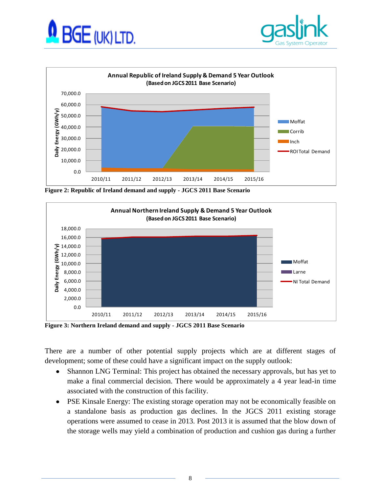





**Figure 2: Republic of Ireland demand and supply - JGCS 2011 Base Scenario**



**Figure 3: Northern Ireland demand and supply - JGCS 2011 Base Scenario**

There are a number of other potential supply projects which are at different stages of development; some of these could have a significant impact on the supply outlook:

- Shannon LNG Terminal: This project has obtained the necessary approvals, but has yet to make a final commercial decision. There would be approximately a 4 year lead-in time associated with the construction of this facility.
- PSE Kinsale Energy: The existing storage operation may not be economically feasible on a standalone basis as production gas declines. In the JGCS 2011 existing storage operations were assumed to cease in 2013. Post 2013 it is assumed that the blow down of the storage wells may yield a combination of production and cushion gas during a further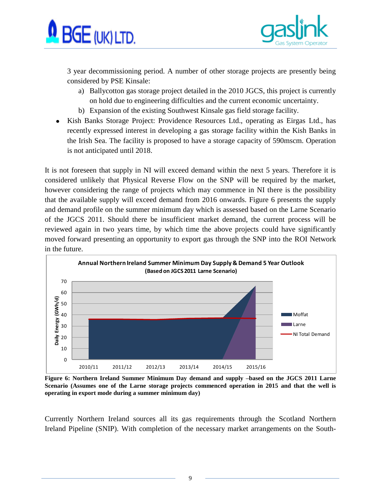



3 year decommissioning period. A number of other storage projects are presently being considered by PSE Kinsale:

- a) Ballycotton gas storage project detailed in the 2010 JGCS, this project is currently on hold due to engineering difficulties and the current economic uncertainty.
- b) Expansion of the existing Southwest Kinsale gas field storage facility.
- Kish Banks Storage Project: Providence Resources Ltd., operating as Eirgas Ltd., has recently expressed interest in developing a gas storage facility within the Kish Banks in the Irish Sea. The facility is proposed to have a storage capacity of 590mscm. Operation is not anticipated until 2018.

It is not foreseen that supply in NI will exceed demand within the next 5 years. Therefore it is considered unlikely that Physical Reverse Flow on the SNP will be required by the market, however considering the range of projects which may commence in NI there is the possibility that the available supply will exceed demand from 2016 onwards. Figure 6 presents the supply and demand profile on the summer minimum day which is assessed based on the Larne Scenario of the JGCS 2011. Should there be insufficient market demand, the current process will be reviewed again in two years time, by which time the above projects could have significantly moved forward presenting an opportunity to export gas through the SNP into the ROI Network in the future.



**Figure 6: Northern Ireland Summer Minimum Day demand and supply –based on the JGCS 2011 Larne Scenario (Assumes one of the Larne storage projects commenced operation in 2015 and that the well is operating in export mode during a summer minimum day)**

Currently Northern Ireland sources all its gas requirements through the Scotland Northern Ireland Pipeline (SNIP). With completion of the necessary market arrangements on the South-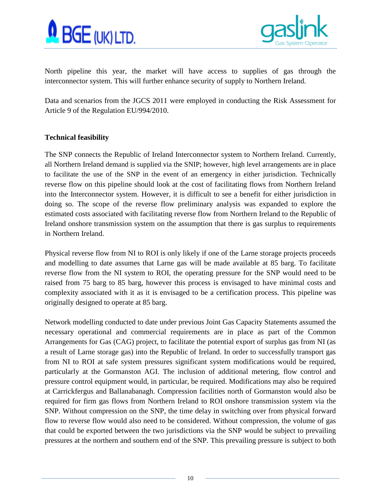



North pipeline this year, the market will have access to supplies of gas through the interconnector system. This will further enhance security of supply to Northern Ireland.

Data and scenarios from the JGCS 2011 were employed in conducting the Risk Assessment for Article 9 of the Regulation EU/994/2010.

#### **Technical feasibility**

The SNP connects the Republic of Ireland Interconnector system to Northern Ireland. Currently, all Northern Ireland demand is supplied via the SNIP; however, high level arrangements are in place to facilitate the use of the SNP in the event of an emergency in either jurisdiction. Technically reverse flow on this pipeline should look at the cost of facilitating flows from Northern Ireland into the Interconnector system. However, it is difficult to see a benefit for either jurisdiction in doing so. The scope of the reverse flow preliminary analysis was expanded to explore the estimated costs associated with facilitating reverse flow from Northern Ireland to the Republic of Ireland onshore transmission system on the assumption that there is gas surplus to requirements in Northern Ireland.

Physical reverse flow from NI to ROI is only likely if one of the Larne storage projects proceeds and modelling to date assumes that Larne gas will be made available at 85 barg. To facilitate reverse flow from the NI system to ROI, the operating pressure for the SNP would need to be raised from 75 barg to 85 barg, however this process is envisaged to have minimal costs and complexity associated with it as it is envisaged to be a certification process. This pipeline was originally designed to operate at 85 barg.

Network modelling conducted to date under previous Joint Gas Capacity Statements assumed the necessary operational and commercial requirements are in place as part of the Common Arrangements for Gas (CAG) project, to facilitate the potential export of surplus gas from NI (as a result of Larne storage gas) into the Republic of Ireland. In order to successfully transport gas from NI to ROI at safe system pressures significant system modifications would be required, particularly at the Gormanston AGI. The inclusion of additional metering, flow control and pressure control equipment would, in particular, be required. Modifications may also be required at Carrickfergus and Ballanabanagh. Compression facilities north of Gormanston would also be required for firm gas flows from Northern Ireland to ROI onshore transmission system via the SNP. Without compression on the SNP, the time delay in switching over from physical forward flow to reverse flow would also need to be considered. Without compression, the volume of gas that could be exported between the two jurisdictions via the SNP would be subject to prevailing pressures at the northern and southern end of the SNP. This prevailing pressure is subject to both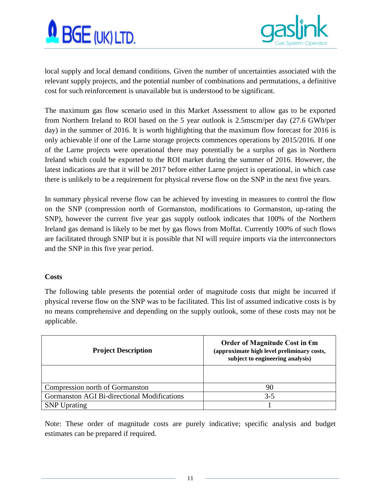



local supply and local demand conditions. Given the number of uncertainties associated with the relevant supply projects, and the potential number of combinations and permutations, a definitive cost for such reinforcement is unavailable but is understood to be significant.

The maximum gas flow scenario used in this Market Assessment to allow gas to be exported from Northern Ireland to ROI based on the 5 year outlook is 2.5mscm/per day (27.6 GWh/per day) in the summer of 2016. It is worth highlighting that the maximum flow forecast for 2016 is only achievable if one of the Larne storage projects commences operations by 2015/2016. If one of the Larne projects were operational there may potentially be a surplus of gas in Northern Ireland which could be exported to the ROI market during the summer of 2016. However, the latest indications are that it will be 2017 before either Larne project is operational, in which case there is unlikely to be a requirement for physical reverse flow on the SNP in the next five years.

In summary physical reverse flow can be achieved by investing in measures to control the flow on the SNP (compression north of Gormanston, modifications to Gormanston, up-rating the SNP), however the current five year gas supply outlook indicates that 100% of the Northern Ireland gas demand is likely to be met by gas flows from Moffat. Currently 100% of such flows are facilitated through SNIP but it is possible that NI will require imports via the interconnectors and the SNP in this five year period.

#### **Costs**

The following table presents the potential order of magnitude costs that might be incurred if physical reverse flow on the SNP was to be facilitated. This list of assumed indicative costs is by no means comprehensive and depending on the supply outlook, some of these costs may not be applicable.

| <b>Project Description</b>                         | Order of Magnitude Cost in $\epsilon$ m<br>(approximate high level preliminary costs,<br>subject to engineering analysis) |
|----------------------------------------------------|---------------------------------------------------------------------------------------------------------------------------|
|                                                    |                                                                                                                           |
| Compression north of Gormanston                    | 90                                                                                                                        |
| <b>Gormanston AGI Bi-directional Modifications</b> | $3 - 5$                                                                                                                   |
| <b>SNP</b> Uprating                                |                                                                                                                           |

Note: These order of magnitude costs are purely indicative; specific analysis and budget estimates can be prepared if required.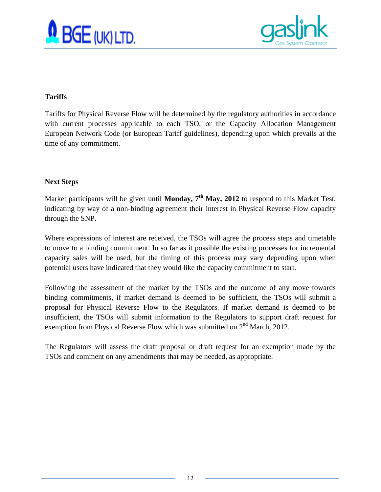



#### **Tariffs**

Tariffs for Physical Reverse Flow will be determined by the regulatory authorities in accordance with current processes applicable to each TSO, or the Capacity Allocation Management European Network Code (or European Tariff guidelines), depending upon which prevails at the time of any commitment.

#### **Next Steps**

Market participants will be given until **Monday, 7th May, 2012** to respond to this Market Test, indicating by way of a non-binding agreement their interest in Physical Reverse Flow capacity through the SNP.

Where expressions of interest are received, the TSOs will agree the process steps and timetable to move to a binding commitment. In so far as it possible the existing processes for incremental capacity sales will be used, but the timing of this process may vary depending upon when potential users have indicated that they would like the capacity commitment to start.

Following the assessment of the market by the TSOs and the outcome of any move towards binding commitments, if market demand is deemed to be sufficient, the TSOs will submit a proposal for Physical Reverse Flow to the Regulators. If market demand is deemed to be insufficient, the TSOs will submit information to the Regulators to support draft request for exemption from Physical Reverse Flow which was submitted on 2<sup>nd</sup> March, 2012.

The Regulators will assess the draft proposal or draft request for an exemption made by the TSOs and comment on any amendments that may be needed, as appropriate.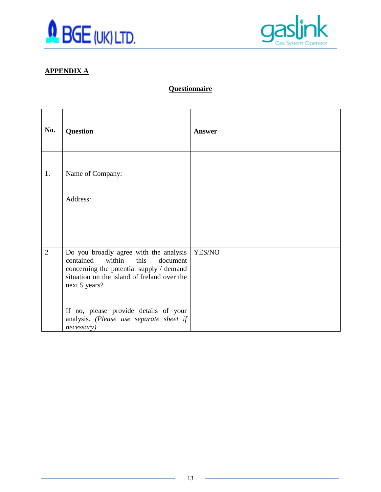



### **APPENDIX A**

#### **Questionnaire**

| No.            | Question                                                                                                                                                                                      | <b>Answer</b> |
|----------------|-----------------------------------------------------------------------------------------------------------------------------------------------------------------------------------------------|---------------|
| 1.             | Name of Company:                                                                                                                                                                              |               |
|                | Address:                                                                                                                                                                                      |               |
|                |                                                                                                                                                                                               |               |
| $\overline{2}$ | Do you broadly agree with the analysis<br>within<br>this<br>contained<br>document<br>concerning the potential supply / demand<br>situation on the island of Ireland over the<br>next 5 years? | YES/NO        |
|                | If no, please provide details of your<br>analysis. (Please use separate sheet if<br>necessary)                                                                                                |               |